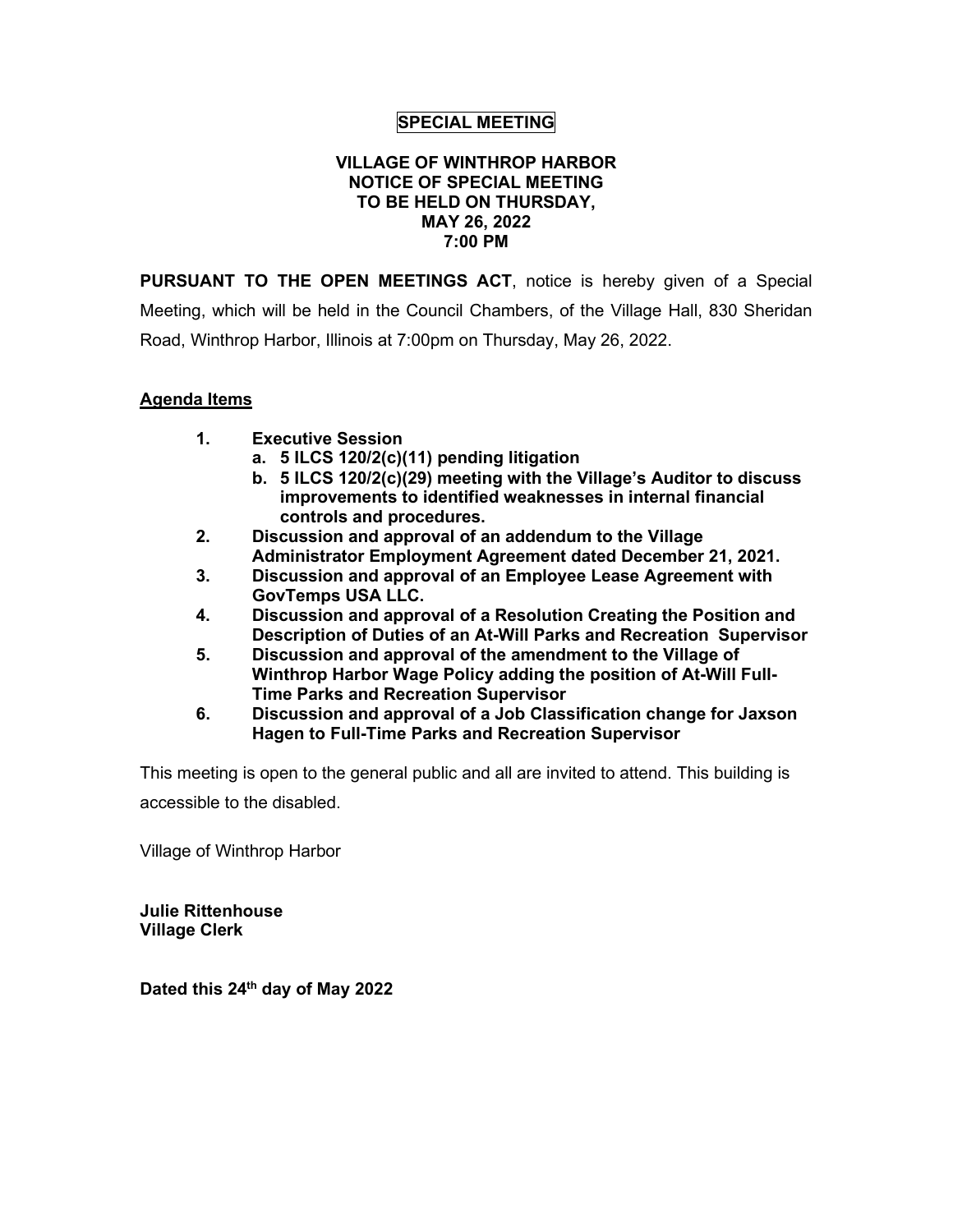# **SPECIAL MEETING**

## **VILLAGE OF WINTHROP HARBOR NOTICE OF SPECIAL MEETING TO BE HELD ON THURSDAY, MAY 26, 2022 7:00 PM**

**PURSUANT TO THE OPEN MEETINGS ACT**, notice is hereby given of a Special Meeting, which will be held in the Council Chambers, of the Village Hall, 830 Sheridan Road, Winthrop Harbor, Illinois at 7:00pm on Thursday, May 26, 2022.

# **Agenda Items**

- **1. Executive Session**
	- **a. 5 ILCS 120/2(c)(11) pending litigation**
	- **b. 5 ILCS 120/2(c)(29) meeting with the Village's Auditor to discuss improvements to identified weaknesses in internal financial controls and procedures.**
- **2. Discussion and approval of an addendum to the Village Administrator Employment Agreement dated December 21, 2021.**
- **3. Discussion and approval of an Employee Lease Agreement with GovTemps USA LLC.**
- **4. Discussion and approval of a Resolution Creating the Position and Description of Duties of an At-Will Parks and Recreation Supervisor**
- **5. Discussion and approval of the amendment to the Village of Winthrop Harbor Wage Policy adding the position of At-Will Full-Time Parks and Recreation Supervisor**
- **6. Discussion and approval of a Job Classification change for Jaxson Hagen to Full-Time Parks and Recreation Supervisor**

This meeting is open to the general public and all are invited to attend. This building is accessible to the disabled.

Village of Winthrop Harbor

**Julie Rittenhouse Village Clerk**

**Dated this 24th day of May 2022**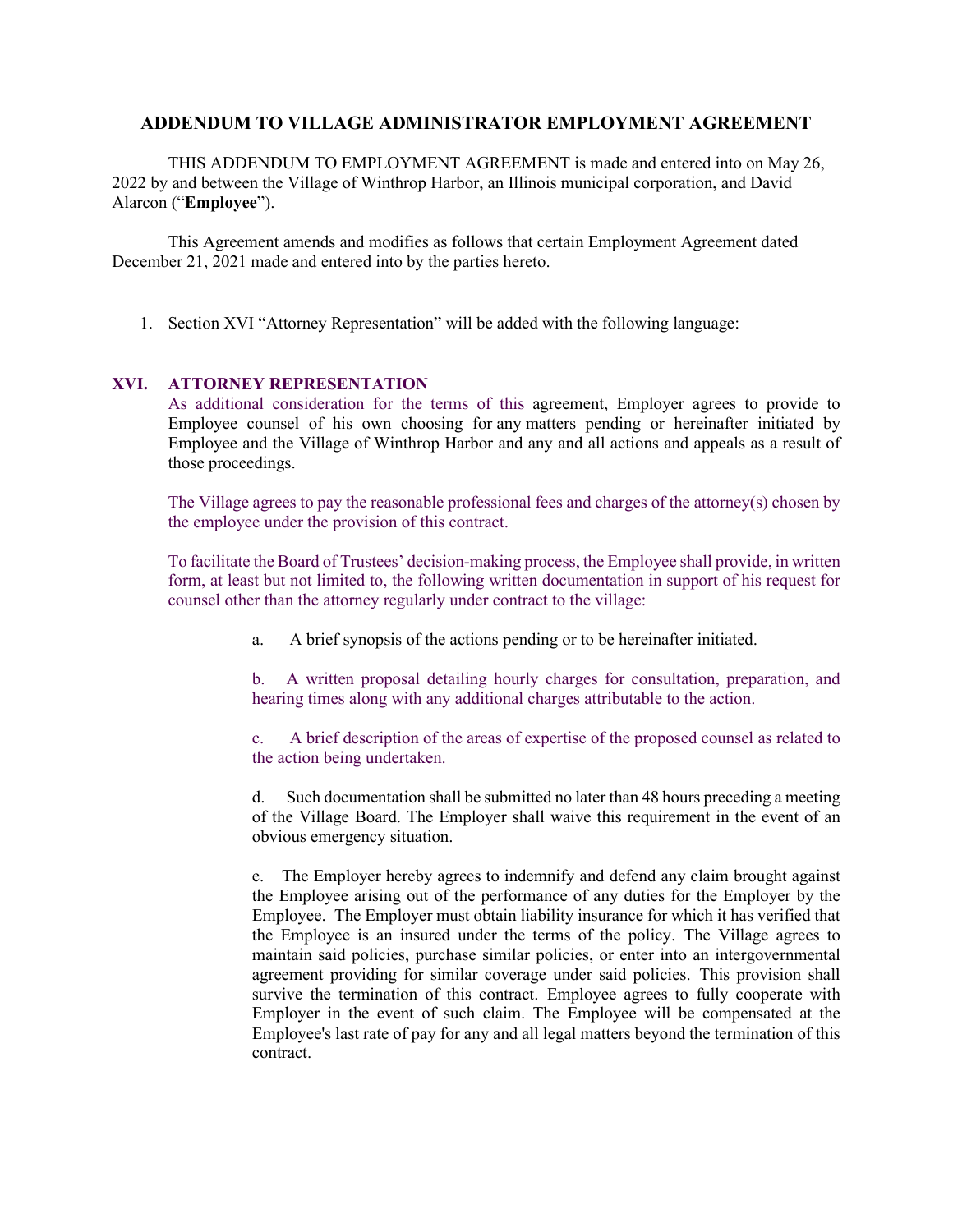# **ADDENDUM TO VILLAGE ADMINISTRATOR EMPLOYMENT AGREEMENT**

THIS ADDENDUM TO EMPLOYMENT AGREEMENT is made and entered into on May 26, 2022 by and between the Village of Winthrop Harbor, an Illinois municipal corporation, and David Alarcon ("**Employee**").

This Agreement amends and modifies as follows that certain Employment Agreement dated December 21, 2021 made and entered into by the parties hereto.

1. Section XVI "Attorney Representation" will be added with the following language:

## **XVI. ATTORNEY REPRESENTATION**

As additional consideration for the terms of this agreement, Employer agrees to provide to Employee counsel of his own choosing for any matters pending or hereinafter initiated by Employee and the Village of Winthrop Harbor and any and all actions and appeals as a result of those proceedings.

The Village agrees to pay the reasonable professional fees and charges of the attorney(s) chosen by the employee under the provision of this contract.

To facilitate the Board of Trustees' decision-making process, the Employee shall provide, in written form, at least but not limited to, the following written documentation in support of his request for counsel other than the attorney regularly under contract to the village:

a. A brief synopsis of the actions pending or to be hereinafter initiated.

b. A written proposal detailing hourly charges for consultation, preparation, and hearing times along with any additional charges attributable to the action.

c. A brief description of the areas of expertise of the proposed counsel as related to the action being undertaken.

d. Such documentation shall be submitted no later than 48 hours preceding a meeting of the Village Board. The Employer shall waive this requirement in the event of an obvious emergency situation.

e. The Employer hereby agrees to indemnify and defend any claim brought against the Employee arising out of the performance of any duties for the Employer by the Employee. The Employer must obtain liability insurance for which it has verified that the Employee is an insured under the terms of the policy. The Village agrees to maintain said policies, purchase similar policies, or enter into an intergovernmental agreement providing for similar coverage under said policies. This provision shall survive the termination of this contract. Employee agrees to fully cooperate with Employer in the event of such claim. The Employee will be compensated at the Employee's last rate of pay for any and all legal matters beyond the termination of this contract.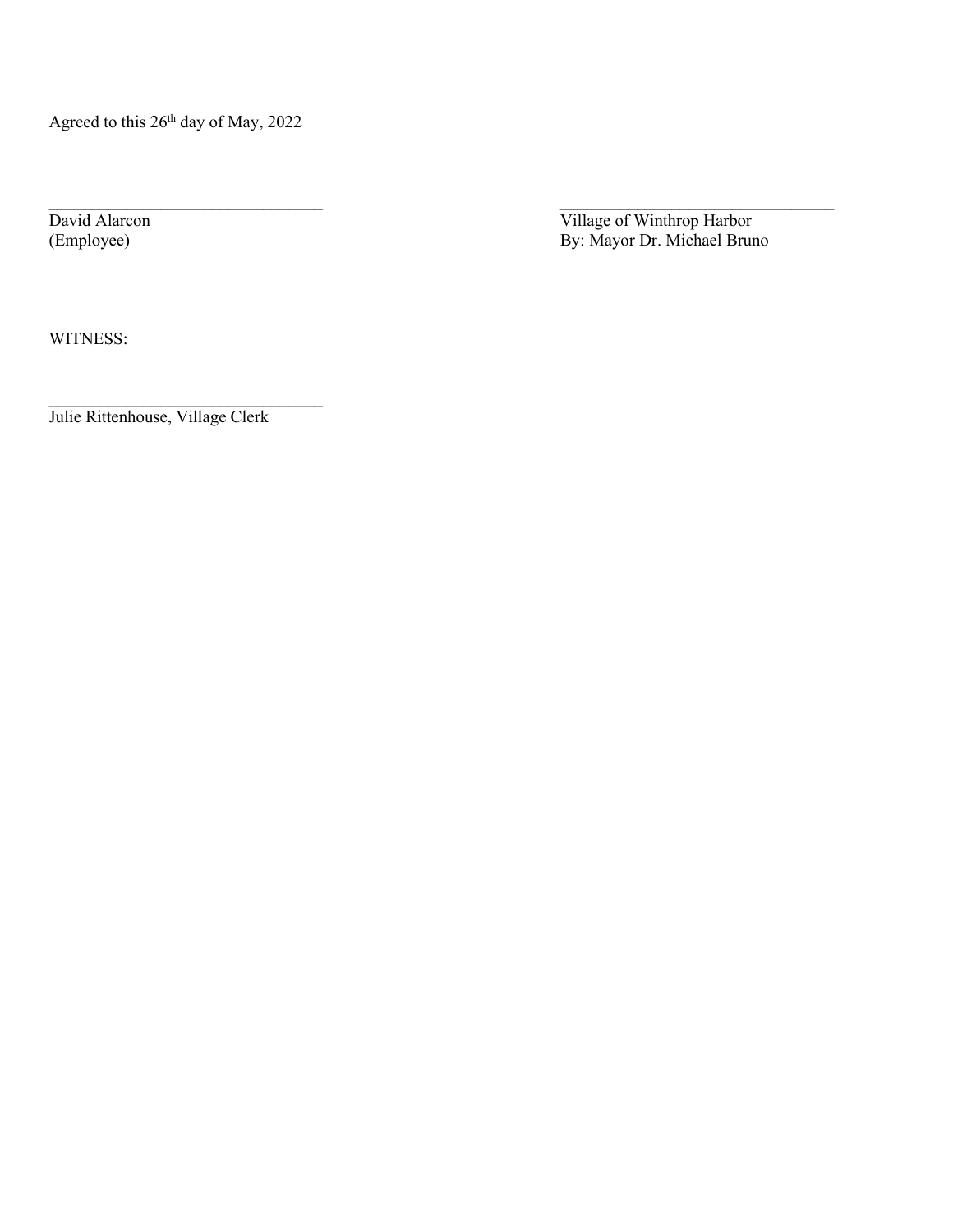Agreed to this 26<sup>th</sup> day of May, 2022

 $\_$  , and the contribution of the contribution of  $\mathcal{L}_\mathcal{A}$  , and the contribution of  $\mathcal{L}_\mathcal{A}$ David Alarcon Village of Winthrop Harbor (Employee) By: Mayor Dr. Michael Bruno

WITNESS:

Julie Rittenhouse, Village Clerk

\_\_\_\_\_\_\_\_\_\_\_\_\_\_\_\_\_\_\_\_\_\_\_\_\_\_\_\_\_\_\_\_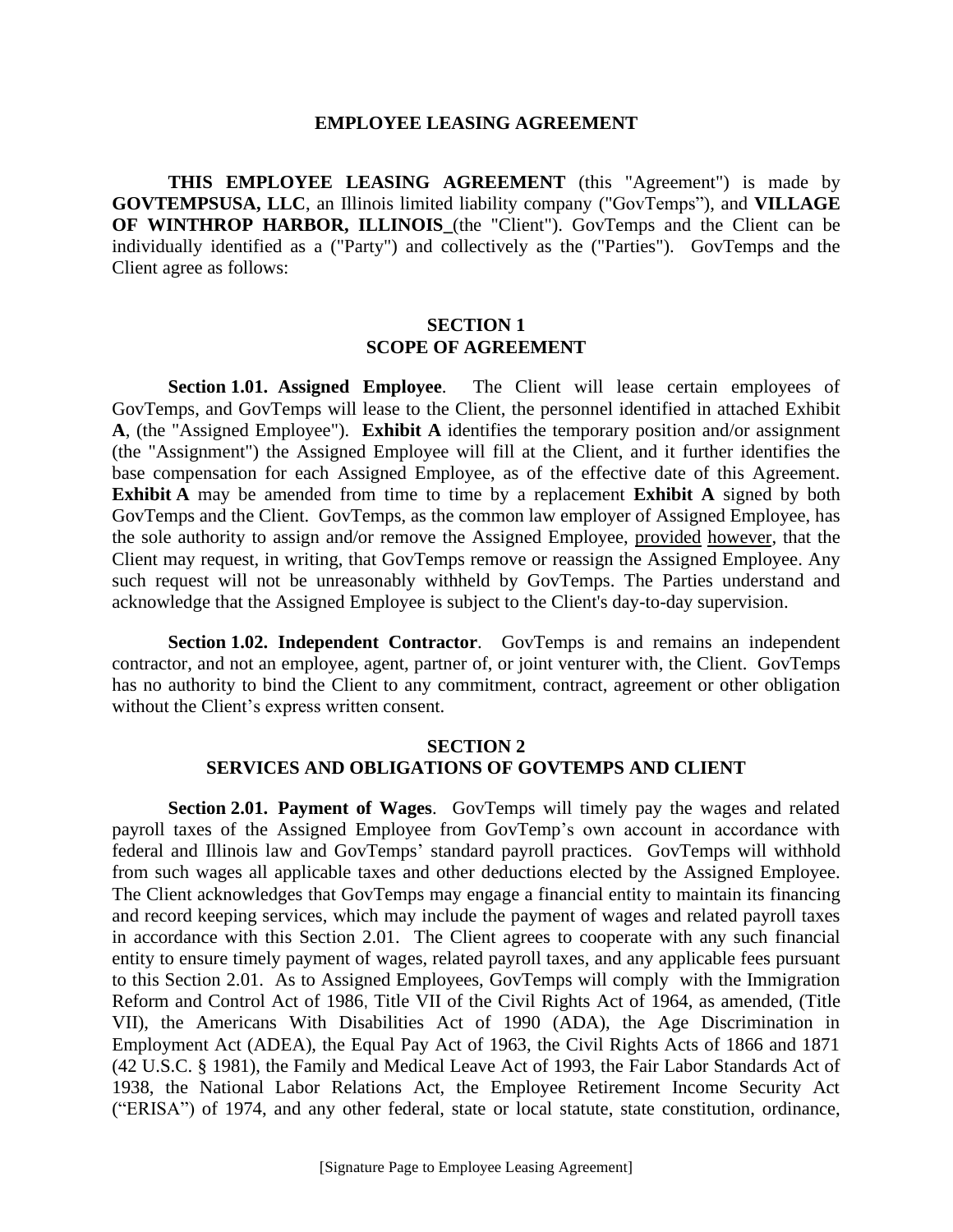#### **EMPLOYEE LEASING AGREEMENT**

**THIS EMPLOYEE LEASING AGREEMENT** (this "Agreement") is made by **GOVTEMPSUSA, LLC**, an Illinois limited liability company ("GovTemps"), and **VILLAGE OF WINTHROP HARBOR, ILLINOIS** (the "Client"). GovTemps and the Client can be individually identified as a ("Party") and collectively as the ("Parties"). GovTemps and the Client agree as follows:

# **SECTION 1 SCOPE OF AGREEMENT**

**Section 1.01. Assigned Employee**. The Client will lease certain employees of GovTemps, and GovTemps will lease to the Client, the personnel identified in attached Exhibit **A**, (the "Assigned Employee"). **Exhibit A** identifies the temporary position and/or assignment (the "Assignment") the Assigned Employee will fill at the Client, and it further identifies the base compensation for each Assigned Employee, as of the effective date of this Agreement. **Exhibit A** may be amended from time to time by a replacement **Exhibit A** signed by both GovTemps and the Client. GovTemps, as the common law employer of Assigned Employee, has the sole authority to assign and/or remove the Assigned Employee, provided however, that the Client may request, in writing, that GovTemps remove or reassign the Assigned Employee. Any such request will not be unreasonably withheld by GovTemps. The Parties understand and acknowledge that the Assigned Employee is subject to the Client's day-to-day supervision.

**Section 1.02. Independent Contractor.** GovTemps is and remains an independent contractor, and not an employee, agent, partner of, or joint venturer with, the Client. GovTemps has no authority to bind the Client to any commitment, contract, agreement or other obligation without the Client's express written consent.

# **SECTION 2 SERVICES AND OBLIGATIONS OF GOVTEMPS AND CLIENT**

**Section 2.01. Payment of Wages.** GovTemps will timely pay the wages and related payroll taxes of the Assigned Employee from GovTemp's own account in accordance with federal and Illinois law and GovTemps' standard payroll practices. GovTemps will withhold from such wages all applicable taxes and other deductions elected by the Assigned Employee. The Client acknowledges that GovTemps may engage a financial entity to maintain its financing and record keeping services, which may include the payment of wages and related payroll taxes in accordance with this Section 2.01. The Client agrees to cooperate with any such financial entity to ensure timely payment of wages, related payroll taxes, and any applicable fees pursuant to this Section 2.01. As to Assigned Employees, GovTemps will comply with the Immigration Reform and Control Act of 1986, Title VII of the Civil Rights Act of 1964, as amended, (Title VII), the Americans With Disabilities Act of 1990 (ADA), the Age Discrimination in Employment Act (ADEA), the Equal Pay Act of 1963, the Civil Rights Acts of 1866 and 1871 (42 U.S.C. § 1981), the Family and Medical Leave Act of 1993, the Fair Labor Standards Act of 1938, the National Labor Relations Act, the Employee Retirement Income Security Act ("ERISA") of 1974, and any other federal, state or local statute, state constitution, ordinance,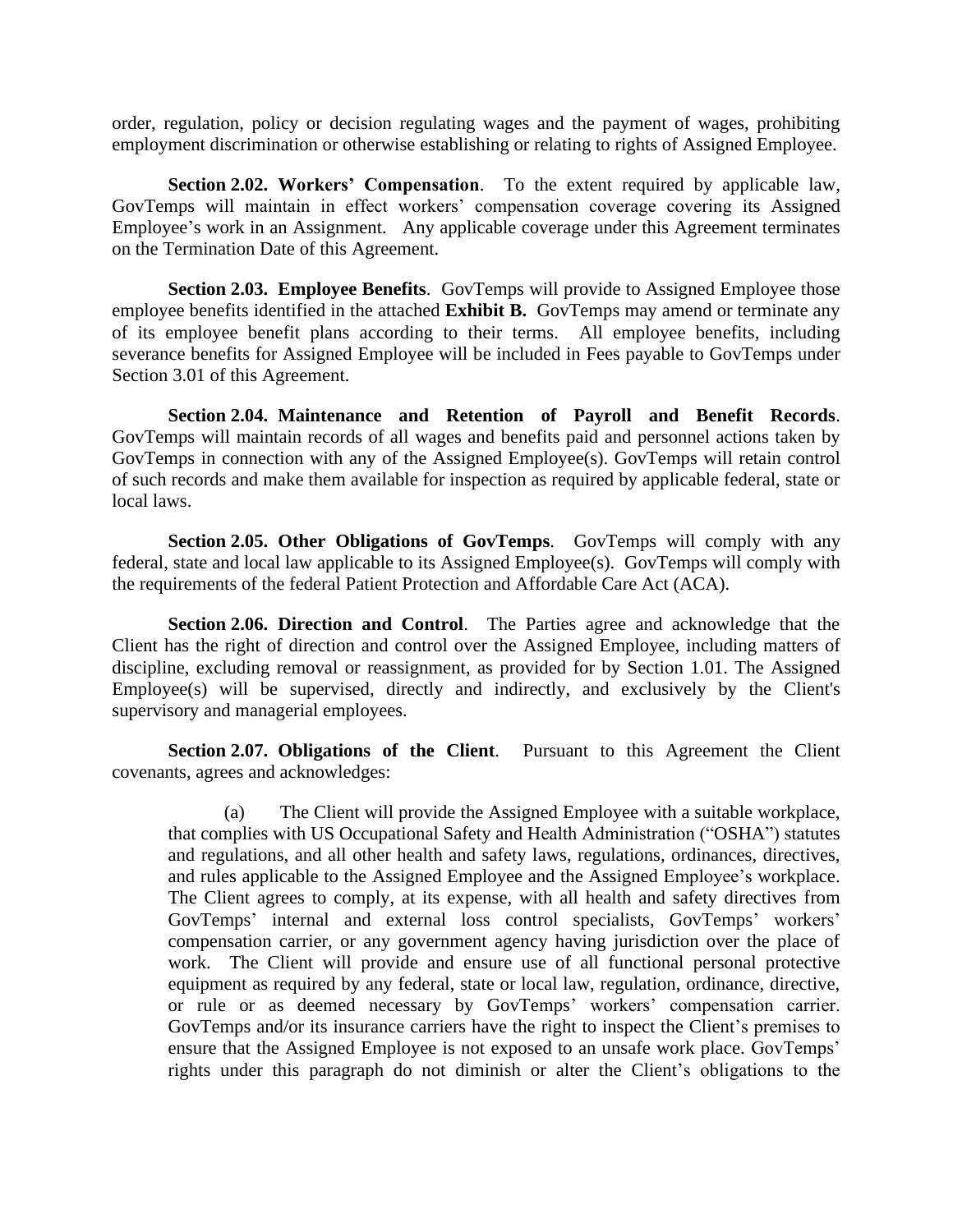order, regulation, policy or decision regulating wages and the payment of wages, prohibiting employment discrimination or otherwise establishing or relating to rights of Assigned Employee.

**Section 2.02. Workers' Compensation**. To the extent required by applicable law, GovTemps will maintain in effect workers' compensation coverage covering its Assigned Employee's work in an Assignment. Any applicable coverage under this Agreement terminates on the Termination Date of this Agreement.

**Section 2.03. Employee Benefits.** GovTemps will provide to Assigned Employee those employee benefits identified in the attached **Exhibit B.** GovTemps may amend or terminate any of its employee benefit plans according to their terms. All employee benefits, including severance benefits for Assigned Employee will be included in Fees payable to GovTemps under Section 3.01 of this Agreement.

**Section 2.04. Maintenance and Retention of Payroll and Benefit Records**. GovTemps will maintain records of all wages and benefits paid and personnel actions taken by GovTemps in connection with any of the Assigned Employee(s). GovTemps will retain control of such records and make them available for inspection as required by applicable federal, state or local laws.

**Section 2.05. Other Obligations of GovTemps**. GovTemps will comply with any federal, state and local law applicable to its Assigned Employee(s). GovTemps will comply with the requirements of the federal Patient Protection and Affordable Care Act (ACA).

**Section 2.06. Direction and Control**. The Parties agree and acknowledge that the Client has the right of direction and control over the Assigned Employee, including matters of discipline, excluding removal or reassignment, as provided for by Section 1.01. The Assigned  $Emplovec(s)$  will be supervised, directly and indirectly, and exclusively by the Client's supervisory and managerial employees.

**Section 2.07. Obligations of the Client**. Pursuant to this Agreement the Client covenants, agrees and acknowledges:

(a) The Client will provide the Assigned Employee with a suitable workplace, that complies with US Occupational Safety and Health Administration ("OSHA") statutes and regulations, and all other health and safety laws, regulations, ordinances, directives, and rules applicable to the Assigned Employee and the Assigned Employee's workplace. The Client agrees to comply, at its expense, with all health and safety directives from GovTemps' internal and external loss control specialists, GovTemps' workers' compensation carrier, or any government agency having jurisdiction over the place of work. The Client will provide and ensure use of all functional personal protective equipment as required by any federal, state or local law, regulation, ordinance, directive, or rule or as deemed necessary by GovTemps' workers' compensation carrier. GovTemps and/or its insurance carriers have the right to inspect the Client's premises to ensure that the Assigned Employee is not exposed to an unsafe work place. GovTemps' rights under this paragraph do not diminish or alter the Client's obligations to the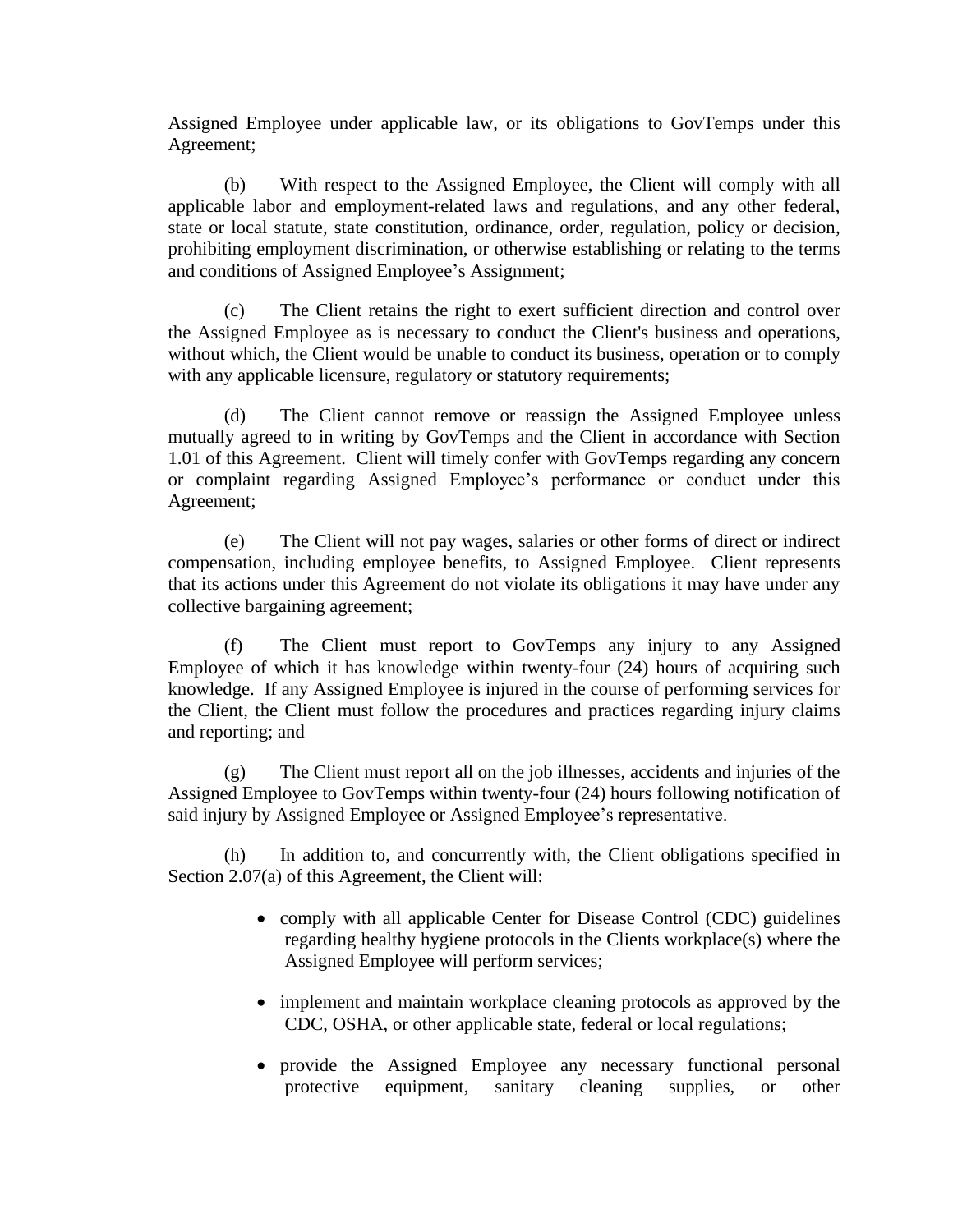Assigned Employee under applicable law, or its obligations to GovTemps under this Agreement;

(b) With respect to the Assigned Employee, the Client will comply with all applicable labor and employment-related laws and regulations, and any other federal, state or local statute, state constitution, ordinance, order, regulation, policy or decision, prohibiting employment discrimination, or otherwise establishing or relating to the terms and conditions of Assigned Employee's Assignment;

(c) The Client retains the right to exert sufficient direction and control over the Assigned Employee as is necessary to conduct the Client's business and operations, without which, the Client would be unable to conduct its business, operation or to comply with any applicable licensure, regulatory or statutory requirements;

(d) The Client cannot remove or reassign the Assigned Employee unless mutually agreed to in writing by GovTemps and the Client in accordance with Section 1.01 of this Agreement. Client will timely confer with GovTemps regarding any concern or complaint regarding Assigned Employee's performance or conduct under this Agreement;

(e) The Client will not pay wages, salaries or other forms of direct or indirect compensation, including employee benefits, to Assigned Employee. Client represents that its actions under this Agreement do not violate its obligations it may have under any collective bargaining agreement;

(f) The Client must report to GovTemps any injury to any Assigned Employee of which it has knowledge within twenty-four (24) hours of acquiring such knowledge. If any Assigned Employee is injured in the course of performing services for the Client, the Client must follow the procedures and practices regarding injury claims and reporting; and

(g) The Client must report all on the job illnesses, accidents and injuries of the Assigned Employee to GovTemps within twenty-four (24) hours following notification of said injury by Assigned Employee or Assigned Employee's representative.

(h) In addition to, and concurrently with, the Client obligations specified in Section 2.07(a) of this Agreement, the Client will:

- comply with all applicable Center for Disease Control (CDC) guidelines regarding healthy hygiene protocols in the Clients workplace(s) where the Assigned Employee will perform services;
- implement and maintain workplace cleaning protocols as approved by the CDC, OSHA, or other applicable state, federal or local regulations;
- provide the Assigned Employee any necessary functional personal protective equipment, sanitary cleaning supplies, or other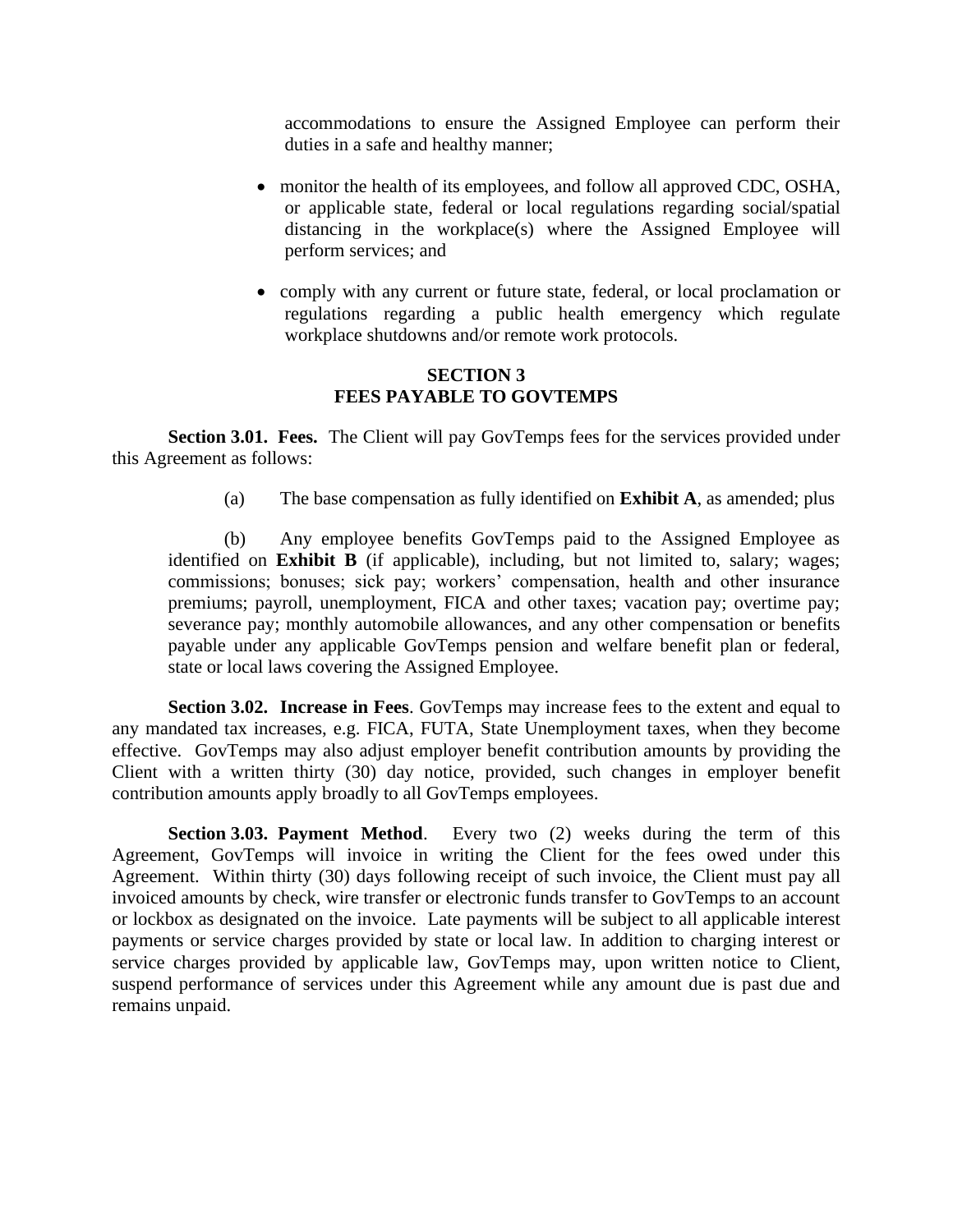accommodations to ensure the Assigned Employee can perform their duties in a safe and healthy manner;

- monitor the health of its employees, and follow all approved CDC, OSHA, or applicable state, federal or local regulations regarding social/spatial distancing in the workplace(s) where the Assigned Employee will perform services; and
- comply with any current or future state, federal, or local proclamation or regulations regarding a public health emergency which regulate workplace shutdowns and/or remote work protocols.

# **SECTION 3 FEES PAYABLE TO GOVTEMPS**

**Section 3.01. Fees.** The Client will pay GovTemps fees for the services provided under this Agreement as follows:

(a) The base compensation as fully identified on **Exhibit A**, as amended; plus

(b) Any employee benefits GovTemps paid to the Assigned Employee as identified on **Exhibit B** (if applicable), including, but not limited to, salary; wages; commissions; bonuses; sick pay; workers' compensation, health and other insurance premiums; payroll, unemployment, FICA and other taxes; vacation pay; overtime pay; severance pay; monthly automobile allowances, and any other compensation or benefits payable under any applicable GovTemps pension and welfare benefit plan or federal, state or local laws covering the Assigned Employee.

**Section 3.02. Increase in Fees.** GovTemps may increase fees to the extent and equal to any mandated tax increases, e.g. FICA, FUTA, State Unemployment taxes, when they become effective. GovTemps may also adjust employer benefit contribution amounts by providing the Client with a written thirty (30) day notice, provided, such changes in employer benefit contribution amounts apply broadly to all GovTemps employees.

**Section 3.03. Payment Method.** Every two (2) weeks during the term of this Agreement, GovTemps will invoice in writing the Client for the fees owed under this Agreement. Within thirty (30) days following receipt of such invoice, the Client must pay all invoiced amounts by check, wire transfer or electronic funds transfer to GovTemps to an account or lockbox as designated on the invoice. Late payments will be subject to all applicable interest payments or service charges provided by state or local law. In addition to charging interest or service charges provided by applicable law, GovTemps may, upon written notice to Client, suspend performance of services under this Agreement while any amount due is past due and remains unpaid.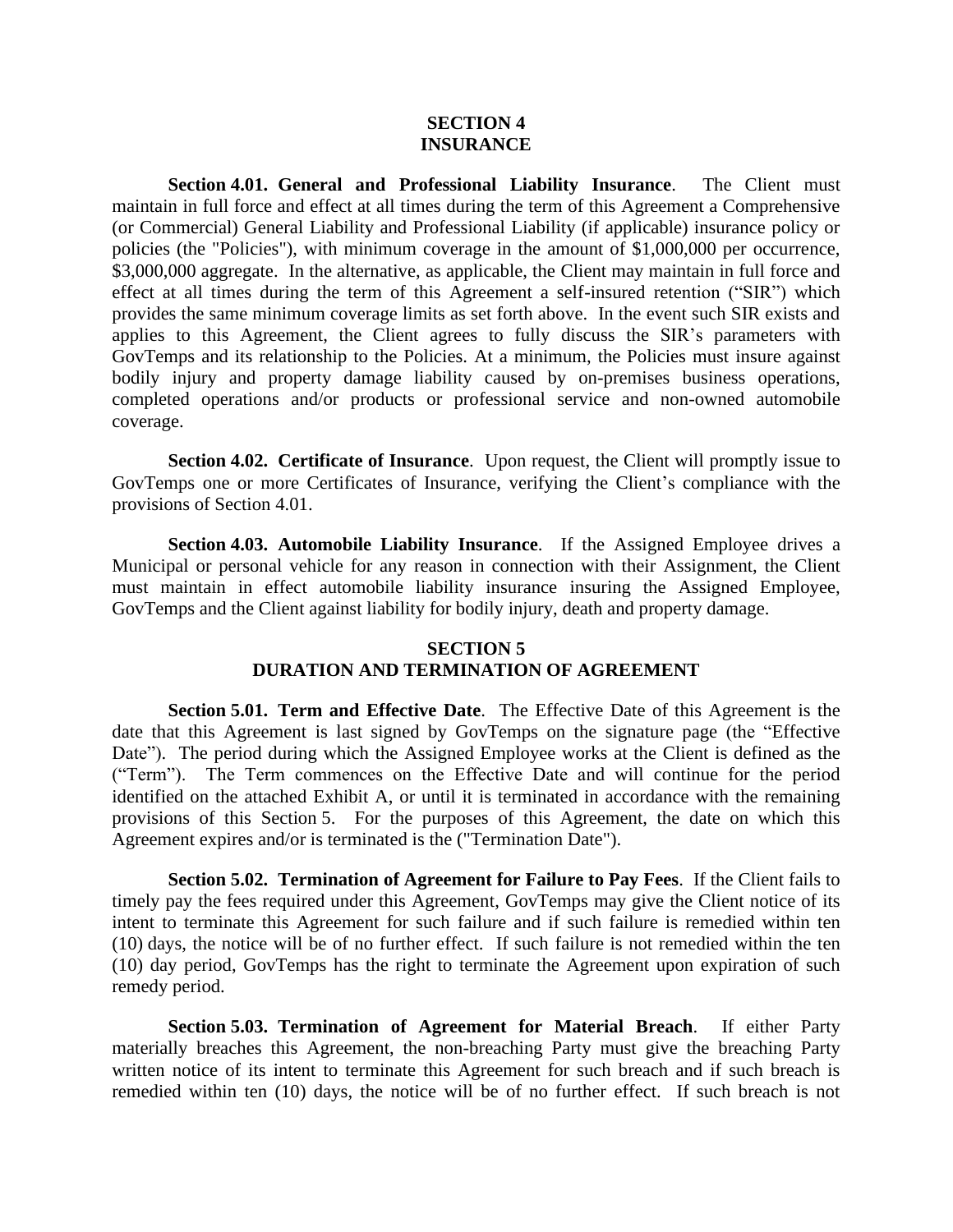## **SECTION 4 INSURANCE**

**Section 4.01. General and Professional Liability Insurance**. The Client must maintain in full force and effect at all times during the term of this Agreement a Comprehensive (or Commercial) General Liability and Professional Liability (if applicable) insurance policy or policies (the "Policies"), with minimum coverage in the amount of \$1,000,000 per occurrence, \$3,000,000 aggregate. In the alternative, as applicable, the Client may maintain in full force and effect at all times during the term of this Agreement a self-insured retention ("SIR") which provides the same minimum coverage limits as set forth above. In the event such SIR exists and applies to this Agreement, the Client agrees to fully discuss the SIR's parameters with GovTemps and its relationship to the Policies. At a minimum, the Policies must insure against bodily injury and property damage liability caused by on-premises business operations, completed operations and/or products or professional service and non-owned automobile coverage.

**Section 4.02. Certificate of Insurance**. Upon request, the Client will promptly issue to GovTemps one or more Certificates of Insurance, verifying the Client's compliance with the provisions of Section 4.01.

**Section 4.03. Automobile Liability Insurance**. If the Assigned Employee drives a Municipal or personal vehicle for any reason in connection with their Assignment, the Client must maintain in effect automobile liability insurance insuring the Assigned Employee, GovTemps and the Client against liability for bodily injury, death and property damage.

# **SECTION 5 DURATION AND TERMINATION OF AGREEMENT**

**Section 5.01. Term and Effective Date**. The Effective Date of this Agreement is the date that this Agreement is last signed by GovTemps on the signature page (the "Effective Date"). The period during which the Assigned Employee works at the Client is defined as the ("Term"). The Term commences on the Effective Date and will continue for the period identified on the attached Exhibit A, or until it is terminated in accordance with the remaining provisions of this Section 5. For the purposes of this Agreement, the date on which this Agreement expires and/or is terminated is the ("Termination Date").

**Section 5.02. Termination of Agreement for Failure to Pay Fees**. If the Client fails to timely pay the fees required under this Agreement, GovTemps may give the Client notice of its intent to terminate this Agreement for such failure and if such failure is remedied within ten (10) days, the notice will be of no further effect. If such failure is not remedied within the ten (10) day period, GovTemps has the right to terminate the Agreement upon expiration of such remedy period.

**Section 5.03. Termination of Agreement for Material Breach**. If either Party materially breaches this Agreement, the non-breaching Party must give the breaching Party written notice of its intent to terminate this Agreement for such breach and if such breach is remedied within ten (10) days, the notice will be of no further effect. If such breach is not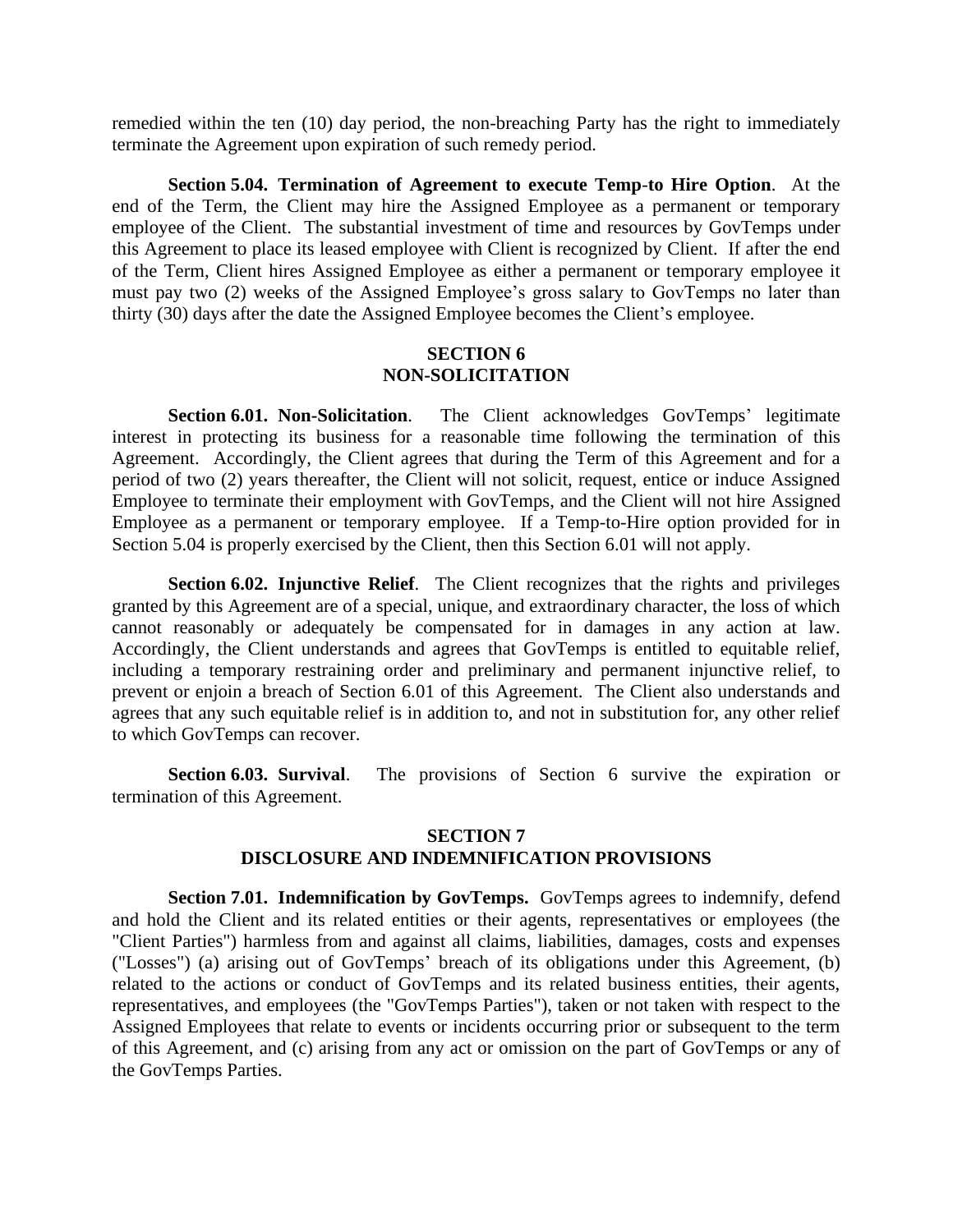remedied within the ten (10) day period, the non-breaching Party has the right to immediately terminate the Agreement upon expiration of such remedy period.

**Section 5.04. Termination of Agreement to execute Temp**-**to Hire Option**. At the end of the Term, the Client may hire the Assigned Employee as a permanent or temporary employee of the Client. The substantial investment of time and resources by GovTemps under this Agreement to place its leased employee with Client is recognized by Client. If after the end of the Term, Client hires Assigned Employee as either a permanent or temporary employee it must pay two (2) weeks of the Assigned Employee's gross salary to GovTemps no later than thirty (30) days after the date the Assigned Employee becomes the Client's employee.

# **SECTION 6 NON-SOLICITATION**

**Section 6.01. Non-Solicitation**. The Client acknowledges GovTemps' legitimate interest in protecting its business for a reasonable time following the termination of this Agreement. Accordingly, the Client agrees that during the Term of this Agreement and for a period of two (2) years thereafter, the Client will not solicit, request, entice or induce Assigned Employee to terminate their employment with GovTemps, and the Client will not hire Assigned Employee as a permanent or temporary employee. If a Temp-to-Hire option provided for in Section 5.04 is properly exercised by the Client, then this Section 6.01 will not apply.

**Section 6.02. Injunctive Relief**. The Client recognizes that the rights and privileges granted by this Agreement are of a special, unique, and extraordinary character, the loss of which cannot reasonably or adequately be compensated for in damages in any action at law. Accordingly, the Client understands and agrees that GovTemps is entitled to equitable relief, including a temporary restraining order and preliminary and permanent injunctive relief, to prevent or enjoin a breach of Section 6.01 of this Agreement. The Client also understands and agrees that any such equitable relief is in addition to, and not in substitution for, any other relief to which GovTemps can recover.

**Section 6.03. Survival**. The provisions of Section 6 survive the expiration or termination of this Agreement.

#### **SECTION 7**

## **DISCLOSURE AND INDEMNIFICATION PROVISIONS**

**Section 7.01. Indemnification by GovTemps.** GovTemps agrees to indemnify, defend and hold the Client and its related entities or their agents, representatives or employees (the "Client Parties") harmless from and against all claims, liabilities, damages, costs and expenses ("Losses") (a) arising out of GovTemps' breach of its obligations under this Agreement, (b) related to the actions or conduct of GovTemps and its related business entities, their agents, representatives, and employees (the "GovTemps Parties"), taken or not taken with respect to the Assigned Employees that relate to events or incidents occurring prior or subsequent to the term of this Agreement, and (c) arising from any act or omission on the part of GovTemps or any of the GovTemps Parties.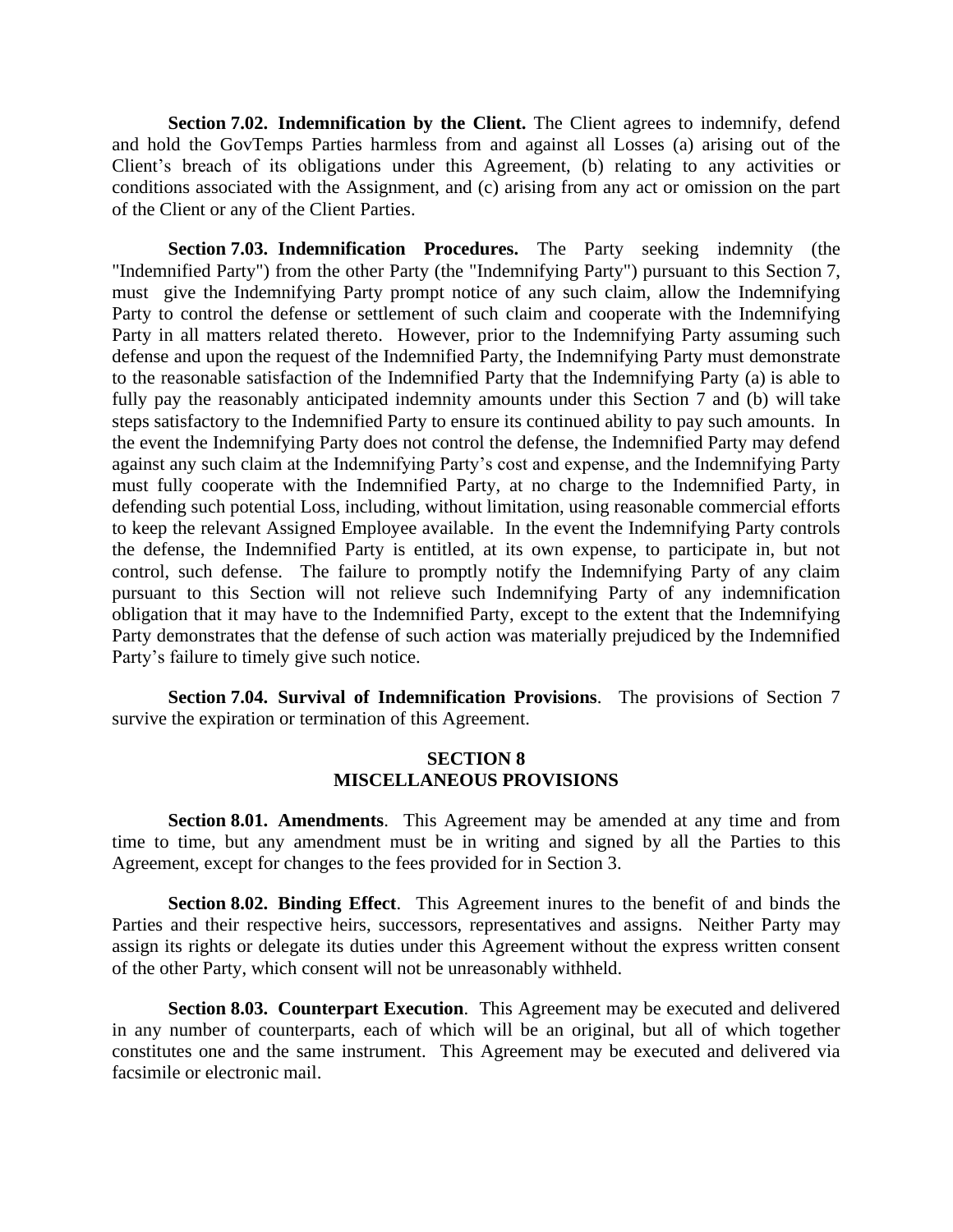**Section 7.02. Indemnification by the Client.** The Client agrees to indemnify, defend and hold the GovTemps Parties harmless from and against all Losses (a) arising out of the Client's breach of its obligations under this Agreement, (b) relating to any activities or conditions associated with the Assignment, and (c) arising from any act or omission on the part of the Client or any of the Client Parties.

**Section 7.03. Indemnification Procedures.** The Party seeking indemnity (the "Indemnified Party") from the other Party (the "Indemnifying Party") pursuant to this Section 7, must give the Indemnifying Party prompt notice of any such claim, allow the Indemnifying Party to control the defense or settlement of such claim and cooperate with the Indemnifying Party in all matters related thereto. However, prior to the Indemnifying Party assuming such defense and upon the request of the Indemnified Party, the Indemnifying Party must demonstrate to the reasonable satisfaction of the Indemnified Party that the Indemnifying Party (a) is able to fully pay the reasonably anticipated indemnity amounts under this Section 7 and (b) will take steps satisfactory to the Indemnified Party to ensure its continued ability to pay such amounts. In the event the Indemnifying Party does not control the defense, the Indemnified Party may defend against any such claim at the Indemnifying Party's cost and expense, and the Indemnifying Party must fully cooperate with the Indemnified Party, at no charge to the Indemnified Party, in defending such potential Loss, including, without limitation, using reasonable commercial efforts to keep the relevant Assigned Employee available. In the event the Indemnifying Party controls the defense, the Indemnified Party is entitled, at its own expense, to participate in, but not control, such defense. The failure to promptly notify the Indemnifying Party of any claim pursuant to this Section will not relieve such Indemnifying Party of any indemnification obligation that it may have to the Indemnified Party, except to the extent that the Indemnifying Party demonstrates that the defense of such action was materially prejudiced by the Indemnified Party's failure to timely give such notice.

**Section 7.04. Survival of Indemnification Provisions**. The provisions of Section 7 survive the expiration or termination of this Agreement.

#### **SECTION 8 MISCELLANEOUS PROVISIONS**

**Section 8.01. Amendments**. This Agreement may be amended at any time and from time to time, but any amendment must be in writing and signed by all the Parties to this Agreement, except for changes to the fees provided for in Section 3.

**Section 8.02. Binding Effect**. This Agreement inures to the benefit of and binds the Parties and their respective heirs, successors, representatives and assigns. Neither Party may assign its rights or delegate its duties under this Agreement without the express written consent of the other Party, which consent will not be unreasonably withheld.

**Section 8.03. Counterpart Execution**. This Agreement may be executed and delivered in any number of counterparts, each of which will be an original, but all of which together constitutes one and the same instrument. This Agreement may be executed and delivered via facsimile or electronic mail.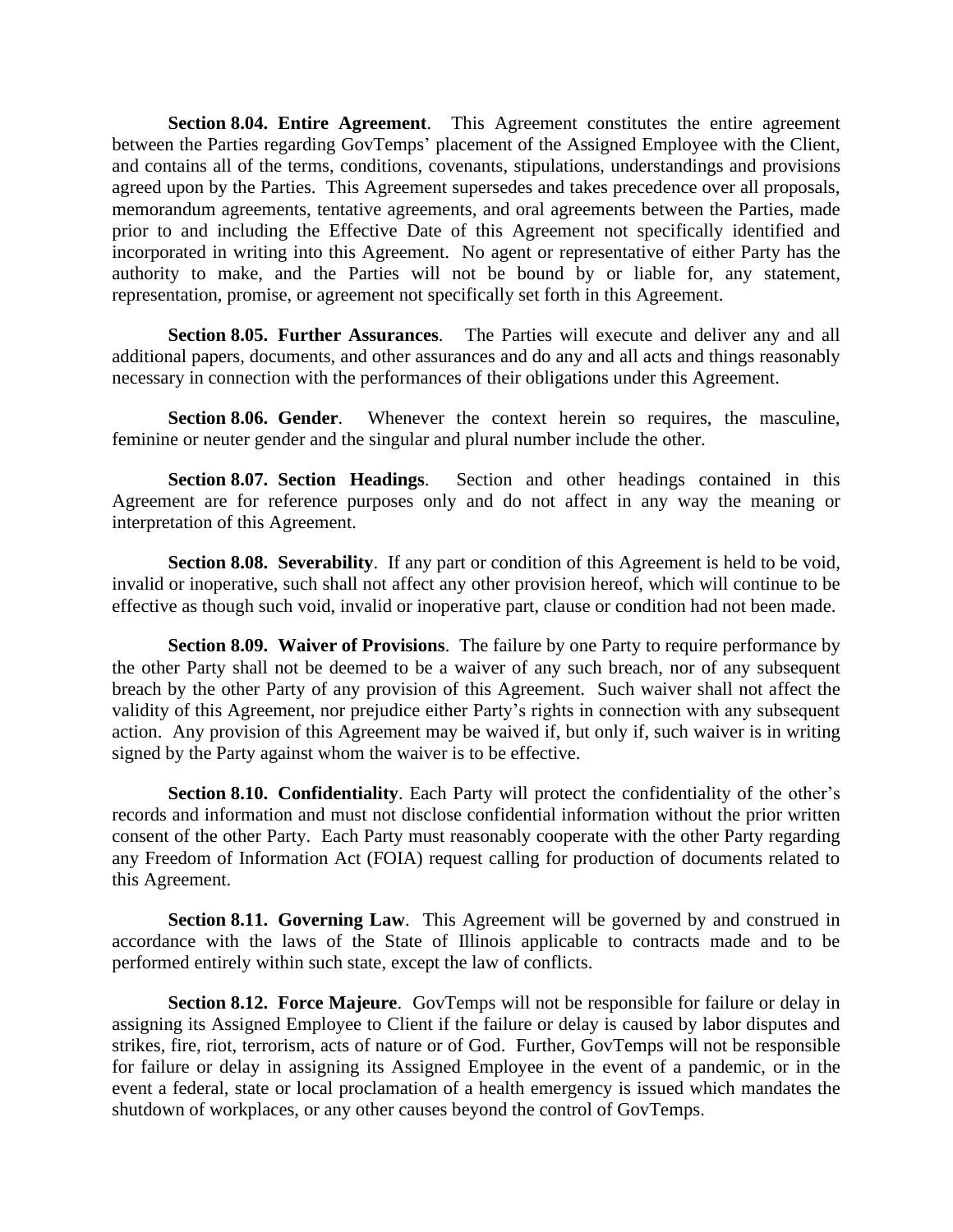**Section 8.04. Entire Agreement**. This Agreement constitutes the entire agreement between the Parties regarding GovTemps' placement of the Assigned Employee with the Client, and contains all of the terms, conditions, covenants, stipulations, understandings and provisions agreed upon by the Parties. This Agreement supersedes and takes precedence over all proposals, memorandum agreements, tentative agreements, and oral agreements between the Parties, made prior to and including the Effective Date of this Agreement not specifically identified and incorporated in writing into this Agreement. No agent or representative of either Party has the authority to make, and the Parties will not be bound by or liable for, any statement, representation, promise, or agreement not specifically set forth in this Agreement.

**Section 8.05. Further Assurances**. The Parties will execute and deliver any and all additional papers, documents, and other assurances and do any and all acts and things reasonably necessary in connection with the performances of their obligations under this Agreement.

**Section 8.06. Gender**. Whenever the context herein so requires, the masculine, feminine or neuter gender and the singular and plural number include the other.

**Section 8.07. Section Headings**. Section and other headings contained in this Agreement are for reference purposes only and do not affect in any way the meaning or interpretation of this Agreement.

**Section 8.08. Severability**. If any part or condition of this Agreement is held to be void, invalid or inoperative, such shall not affect any other provision hereof, which will continue to be effective as though such void, invalid or inoperative part, clause or condition had not been made.

**Section 8.09. Waiver of Provisions**. The failure by one Party to require performance by the other Party shall not be deemed to be a waiver of any such breach, nor of any subsequent breach by the other Party of any provision of this Agreement. Such waiver shall not affect the validity of this Agreement, nor prejudice either Party's rights in connection with any subsequent action. Any provision of this Agreement may be waived if, but only if, such waiver is in writing signed by the Party against whom the waiver is to be effective.

**Section 8.10. Confidentiality**. Each Party will protect the confidentiality of the other's records and information and must not disclose confidential information without the prior written consent of the other Party. Each Party must reasonably cooperate with the other Party regarding any Freedom of Information Act (FOIA) request calling for production of documents related to this Agreement.

**Section 8.11. Governing Law**. This Agreement will be governed by and construed in accordance with the laws of the State of Illinois applicable to contracts made and to be performed entirely within such state, except the law of conflicts.

**Section 8.12. Force Majeure.** GovTemps will not be responsible for failure or delay in assigning its Assigned Employee to Client if the failure or delay is caused by labor disputes and strikes, fire, riot, terrorism, acts of nature or of God. Further, GovTemps will not be responsible for failure or delay in assigning its Assigned Employee in the event of a pandemic, or in the event a federal, state or local proclamation of a health emergency is issued which mandates the shutdown of workplaces, or any other causes beyond the control of GovTemps.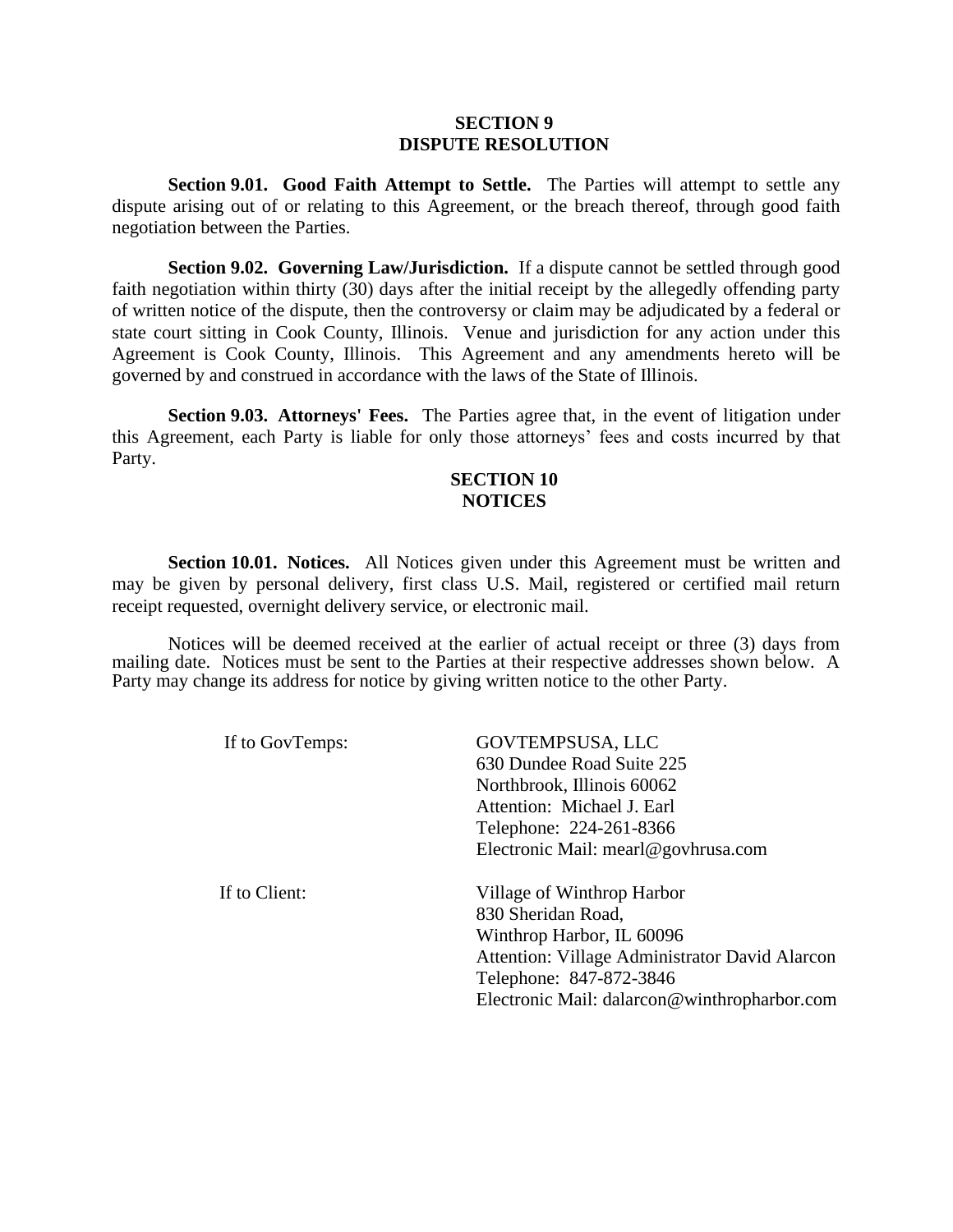## **SECTION 9 DISPUTE RESOLUTION**

**Section 9.01. Good Faith Attempt to Settle.** The Parties will attempt to settle any dispute arising out of or relating to this Agreement, or the breach thereof, through good faith negotiation between the Parties.

**Section 9.02. Governing Law/Jurisdiction.** If a dispute cannot be settled through good faith negotiation within thirty (30) days after the initial receipt by the allegedly offending party of written notice of the dispute, then the controversy or claim may be adjudicated by a federal or state court sitting in Cook County, Illinois. Venue and jurisdiction for any action under this Agreement is Cook County, Illinois. This Agreement and any amendments hereto will be governed by and construed in accordance with the laws of the State of Illinois.

**Section 9.03. Attorneys' Fees.** The Parties agree that, in the event of litigation under this Agreement, each Party is liable for only those attorneys' fees and costs incurred by that Party.

# **SECTION 10 NOTICES**

**Section 10.01. Notices.** All Notices given under this Agreement must be written and may be given by personal delivery, first class U.S. Mail, registered or certified mail return receipt requested, overnight delivery service, or electronic mail.

Notices will be deemed received at the earlier of actual receipt or three (3) days from mailing date. Notices must be sent to the Parties at their respective addresses shown below. A Party may change its address for notice by giving written notice to the other Party.

If to GovTemps: GOVTEMPSUSA, LLC

630 Dundee Road Suite 225 Northbrook, Illinois 60062 Attention: Michael J. Earl Telephone: 224-261-8366 Electronic Mail: mearl@govhrusa.com

 If to Client: Village of Winthrop Harbor 830 Sheridan Road, Winthrop Harbor, IL 60096 Attention: Village Administrator David Alarcon Telephone: 847-872-3846 Electronic Mail: dalarcon@winthropharbor.com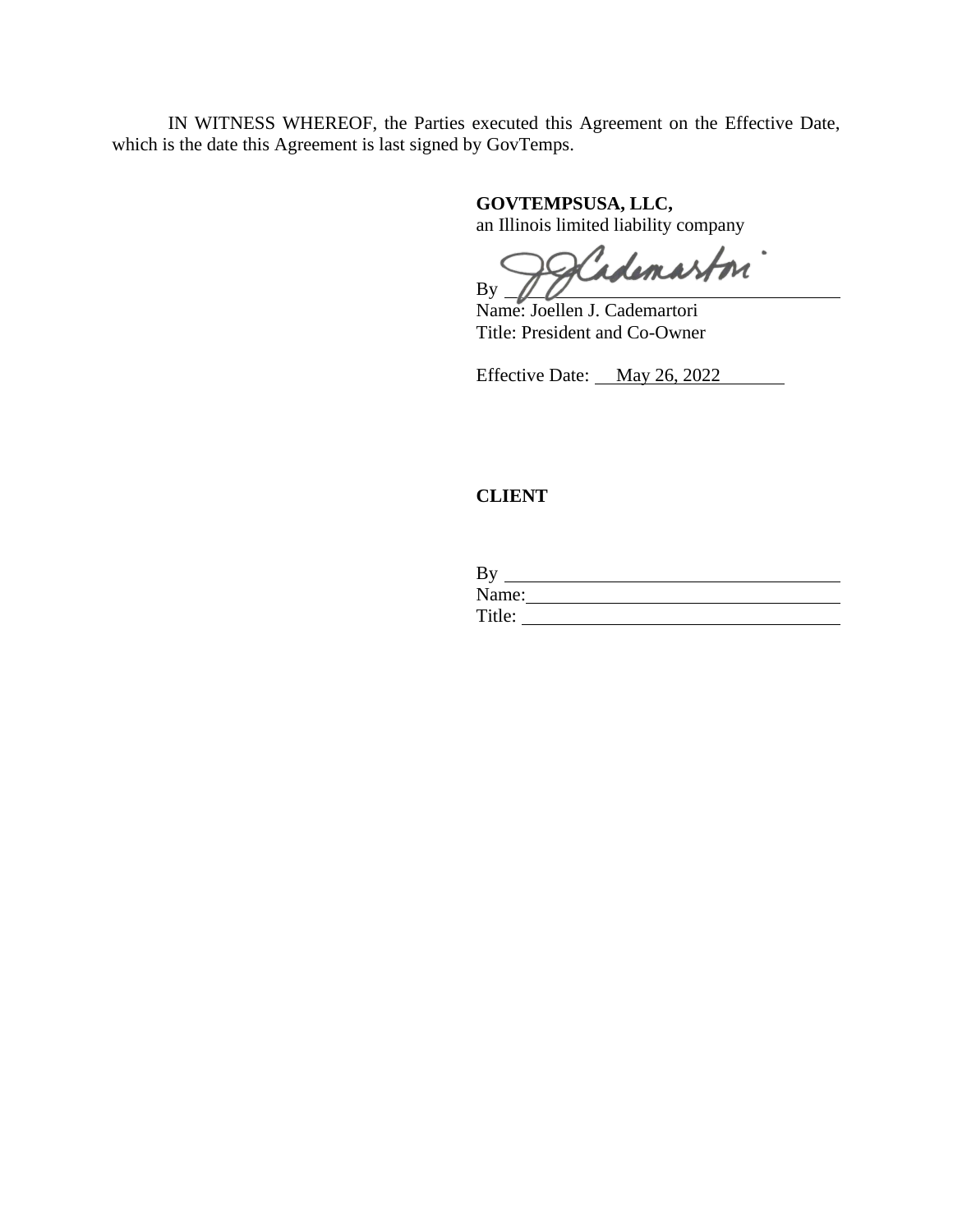IN WITNESS WHEREOF, the Parties executed this Agreement on the Effective Date, which is the date this Agreement is last signed by GovTemps.

**GOVTEMPSUSA, LLC,** 

an Illinois limited liability company

Scademaston" By

Name: Joellen J. Cademartori Title: President and Co-Owner

Effective Date: May 26, 2022

# **CLIENT**

| By     |  |  |
|--------|--|--|
| Name:  |  |  |
| Title: |  |  |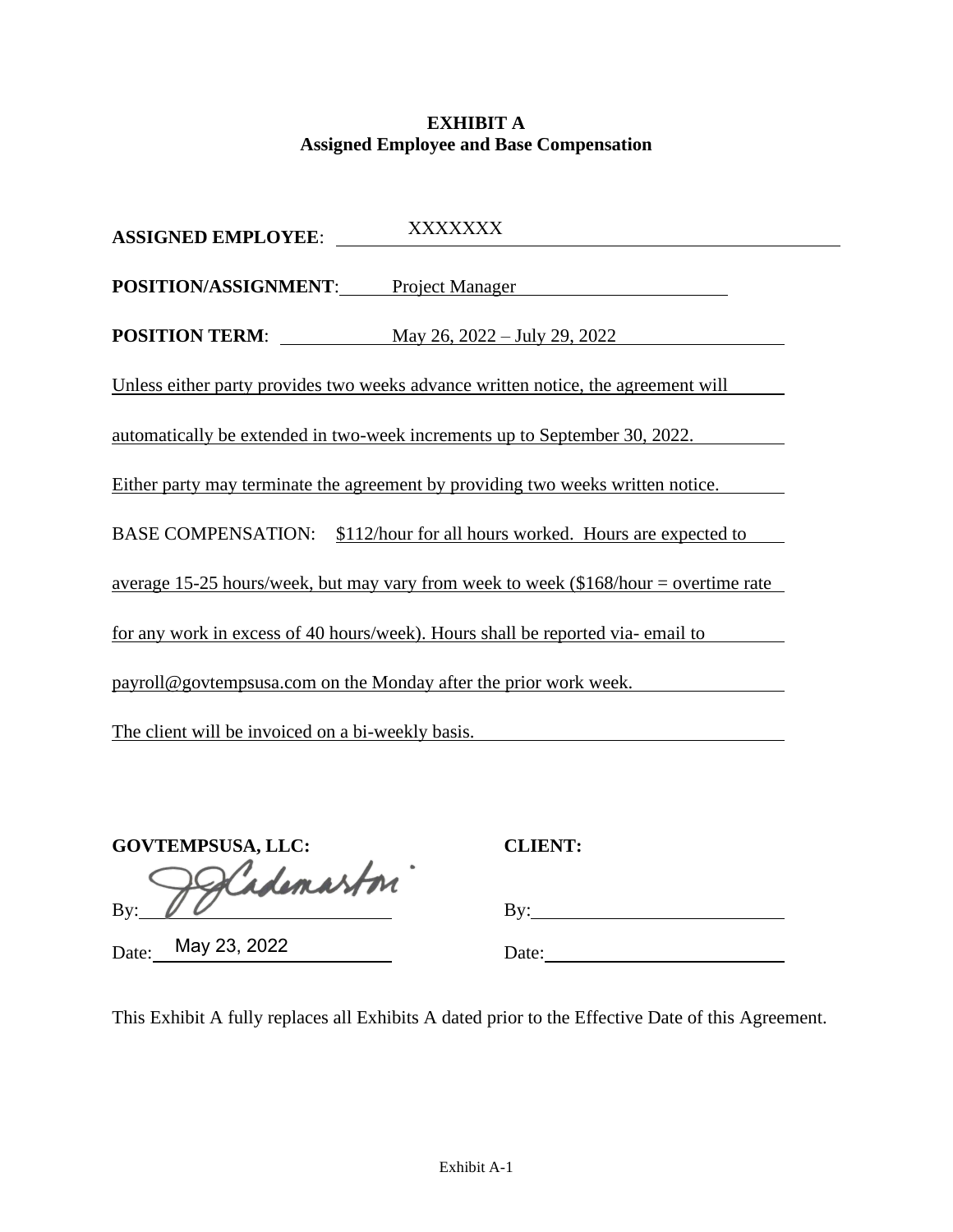# **EXHIBIT A Assigned Employee and Base Compensation**

| XXXXXXX<br><b>ASSIGNED EMPLOYEE:</b>                                                 |
|--------------------------------------------------------------------------------------|
| POSITION/ASSIGNMENT: Project Manager                                                 |
| <b>POSITION TERM:</b> May 26, 2022 – July 29, 2022                                   |
| Unless either party provides two weeks advance written notice, the agreement will    |
| automatically be extended in two-week increments up to September 30, 2022.           |
| Either party may terminate the agreement by providing two weeks written notice.      |
| BASE COMPENSATION: \$112/hour for all hours worked. Hours are expected to            |
| average 15-25 hours/week, but may vary from week to week $$168/hour =$ overtime rate |
| for any work in excess of 40 hours/week). Hours shall be reported via-email to       |
| payroll@govtempsusa.com on the Monday after the prior work week.                     |
| The client will be invoiced on a bi-weekly basis.                                    |

| <b>GOVTEMPSUSA, LLC:</b> |  |
|--------------------------|--|
| Alademaston              |  |
|                          |  |

Date: May 23, 2022 Date:

**GOVTEMPSUSA, LLC: CLIENT:**

This Exhibit A fully replaces all Exhibits A dated prior to the Effective Date of this Agreement.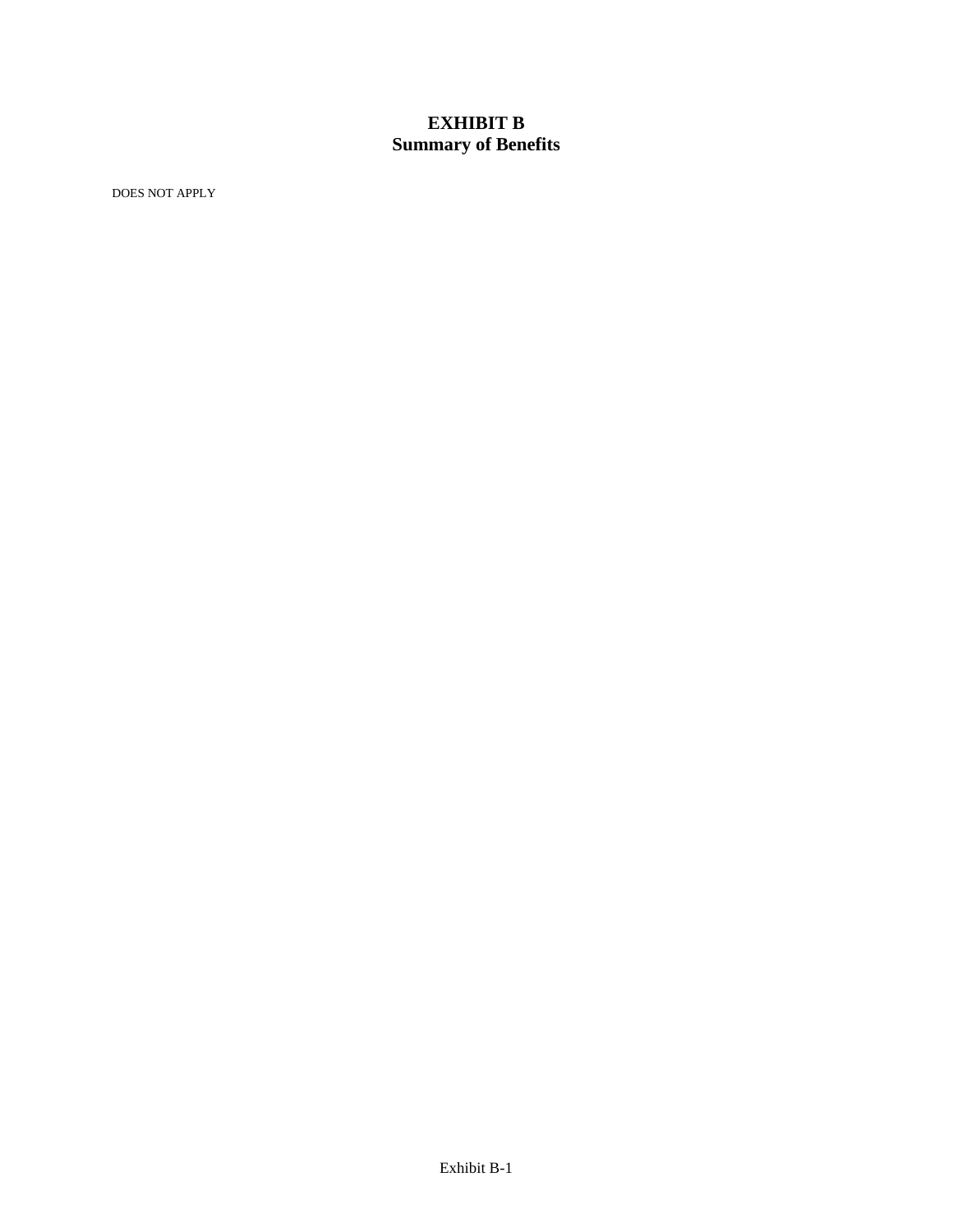# **EXHIBIT B Summary of Benefits**

DOES NOT APPLY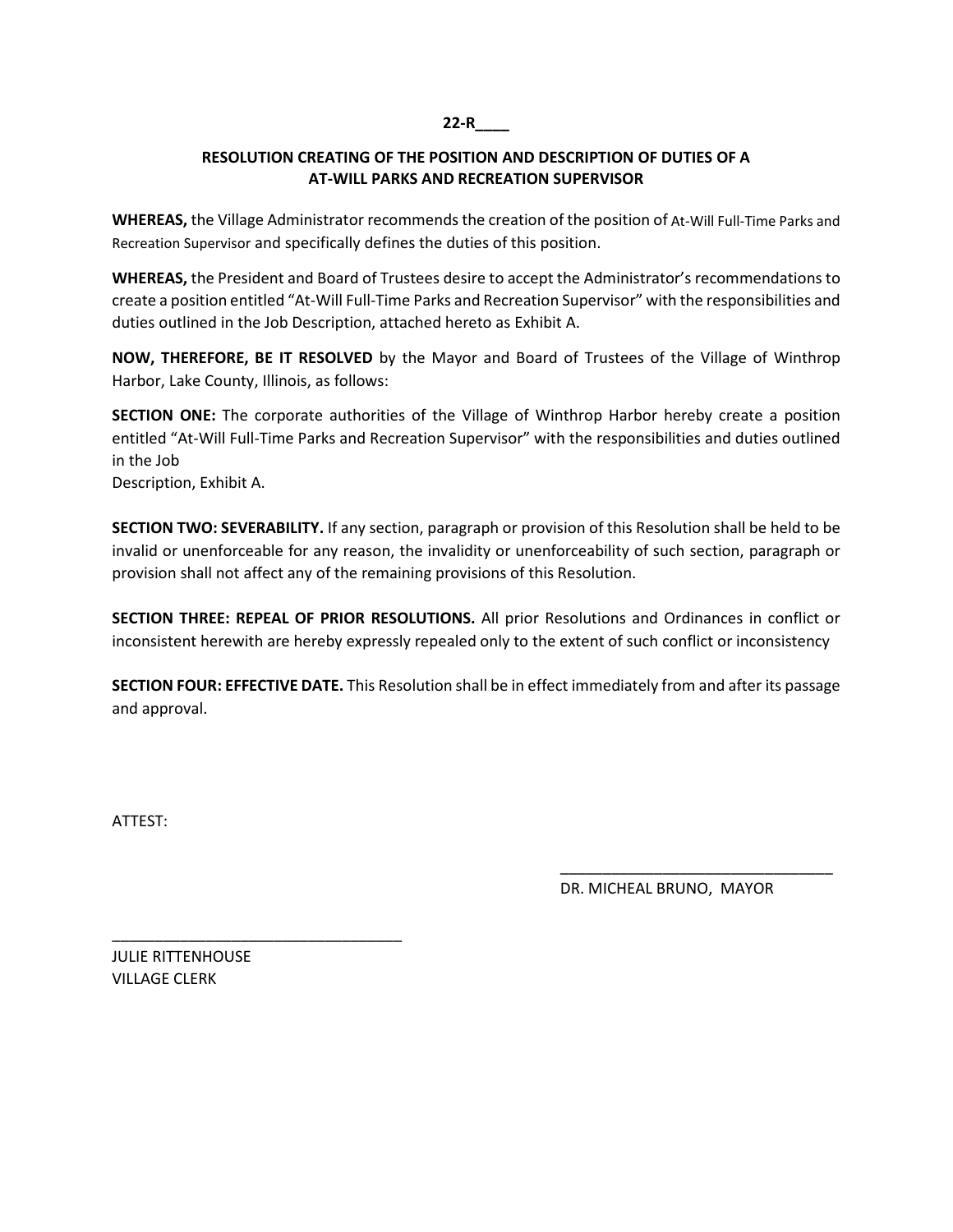# **22-R\_\_\_\_**

# **RESOLUTION CREATING OF THE POSITION AND DESCRIPTION OF DUTIES OF A AT-WILL PARKS AND RECREATION SUPERVISOR**

**WHEREAS,** the Village Administrator recommends the creation of the position of At-Will Full-Time Parks and Recreation Supervisor and specifically defines the duties of this position.

**WHEREAS,** the President and Board of Trustees desire to accept the Administrator's recommendations to create a position entitled "At-Will Full-Time Parks and Recreation Supervisor" with the responsibilities and duties outlined in the Job Description, attached hereto as Exhibit A.

**NOW, THEREFORE, BE IT RESOLVED** by the Mayor and Board of Trustees of the Village of Winthrop Harbor, Lake County, Illinois, as follows:

**SECTION ONE:** The corporate authorities of the Village of Winthrop Harbor hereby create a position entitled "At-Will Full-Time Parks and Recreation Supervisor" with the responsibilities and duties outlined in the Job

Description, Exhibit A.

**SECTION TWO: SEVERABILITY.** If any section, paragraph or provision of this Resolution shall be held to be invalid or unenforceable for any reason, the invalidity or unenforceability of such section, paragraph or provision shall not affect any of the remaining provisions of this Resolution.

**SECTION THREE: REPEAL OF PRIOR RESOLUTIONS.** All prior Resolutions and Ordinances in conflict or inconsistent herewith are hereby expressly repealed only to the extent of such conflict or inconsistency

**SECTION FOUR: EFFECTIVE DATE.** This Resolution shall be in effect immediately from and after its passage and approval.

 $\overline{\phantom{a}}$  , which is a set of the contract of the contract of the contract of the contract of the contract of the contract of the contract of the contract of the contract of the contract of the contract of the contract

ATTEST:

DR. MICHEAL BRUNO, MAYOR

JULIE RITTENHOUSE VILLAGE CLERK

\_\_\_\_\_\_\_\_\_\_\_\_\_\_\_\_\_\_\_\_\_\_\_\_\_\_\_\_\_\_\_\_\_\_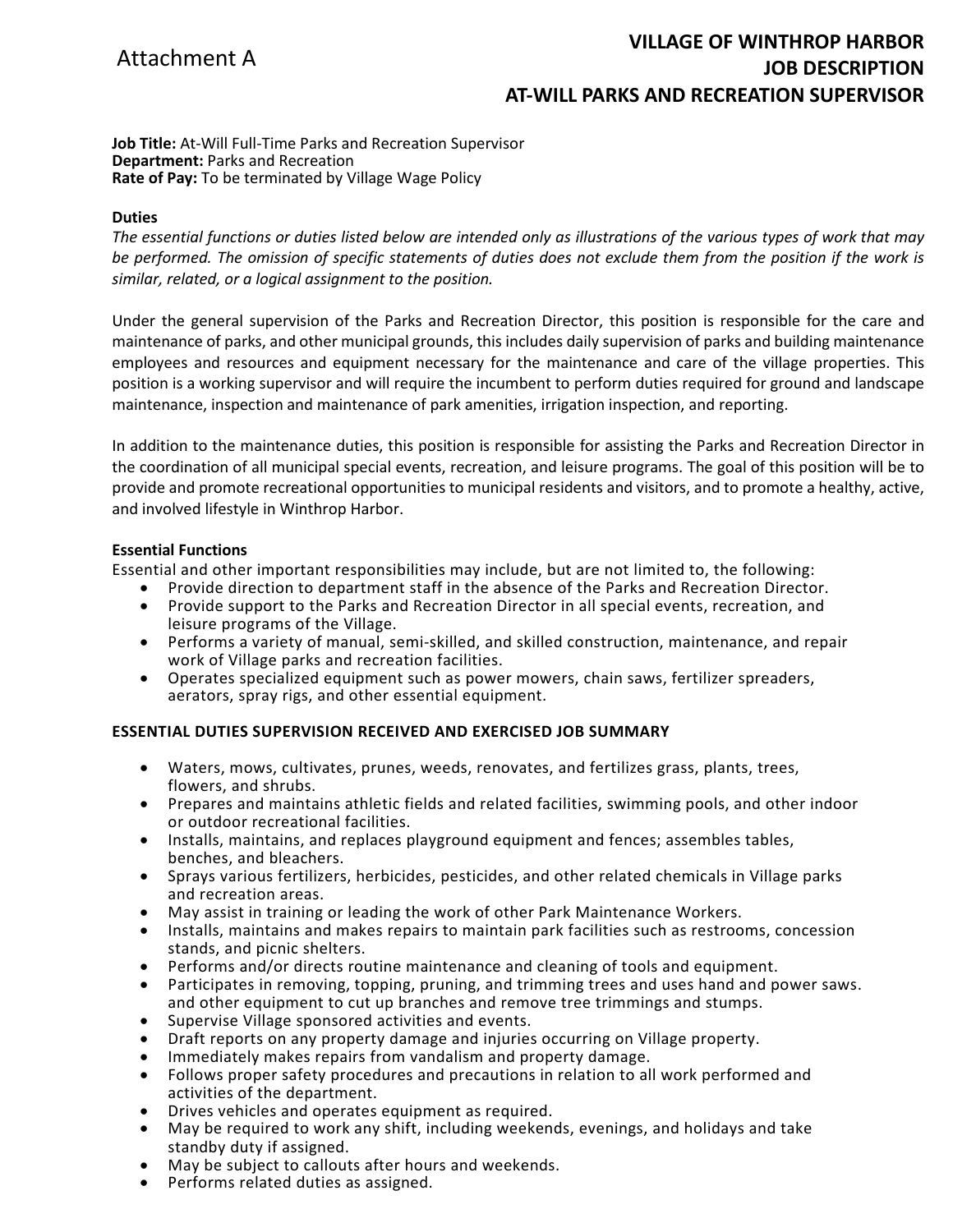# **VILLAGE OF WINTHROP HARBOR JOB DESCRIPTION AT-WILL PARKS AND RECREATION SUPERVISOR**

**Job Title:** At-Will Full-Time Parks and Recreation Supervisor **Department:** Parks and Recreation **Rate of Pay:** To be terminated by Village Wage Policy

#### **Duties**

*The essential functions or duties listed below are intended only as illustrations of the various types of work that may*  be performed. The omission of specific statements of duties does not exclude them from the position if the work is *similar, related, or a logical assignment to the position.*

Under the general supervision of the Parks and Recreation Director, this position is responsible for the care and maintenance of parks, and other municipal grounds, this includes daily supervision of parks and building maintenance employees and resources and equipment necessary for the maintenance and care of the village properties. This position is a working supervisor and will require the incumbent to perform duties required for ground and landscape maintenance, inspection and maintenance of park amenities, irrigation inspection, and reporting.

In addition to the maintenance duties, this position is responsible for assisting the Parks and Recreation Director in the coordination of all municipal special events, recreation, and leisure programs. The goal of this position will be to provide and promote recreational opportunities to municipal residents and visitors, and to promote a healthy, active, and involved lifestyle in Winthrop Harbor.

#### **Essential Functions**

Essential and other important responsibilities may include, but are not limited to, the following:

- Provide direction to department staff in the absence of the Parks and Recreation Director.
- Provide support to the Parks and Recreation Director in all special events, recreation, and leisure programs of the Village.
- Performs a variety of manual, semi-skilled, and skilled construction, maintenance, and repair work of Village parks and recreation facilities.
- Operates specialized equipment such as power mowers, chain saws, fertilizer spreaders, aerators, spray rigs, and other essential equipment.

## **ESSENTIAL DUTIES SUPERVISION RECEIVED AND EXERCISED JOB SUMMARY**

- Waters, mows, cultivates, prunes, weeds, renovates, and fertilizes grass, plants, trees, flowers, and shrubs.
- Prepares and maintains athletic fields and related facilities, swimming pools, and other indoor or outdoor recreational facilities.
- Installs, maintains, and replaces playground equipment and fences; assembles tables, benches, and bleachers.
- Sprays various fertilizers, herbicides, pesticides, and other related chemicals in Village parks and recreation areas.
- May assist in training or leading the work of other Park Maintenance Workers.
- Installs, maintains and makes repairs to maintain park facilities such as restrooms, concession stands, and picnic shelters.
- Performs and/or directs routine maintenance and cleaning of tools and equipment.
- Participates in removing, topping, pruning, and trimming trees and uses hand and power saws. and other equipment to cut up branches and remove tree trimmings and stumps.
- Supervise Village sponsored activities and events.
- Draft reports on any property damage and injuries occurring on Village property.
- Immediately makes repairs from vandalism and property damage.
- Follows proper safety procedures and precautions in relation to all work performed and activities of the department.
- Drives vehicles and operates equipment as required.
- May be required to work any shift, including weekends, evenings, and holidays and take standby duty if assigned.
- May be subject to callouts after hours and weekends.
- Performs related duties as assigned.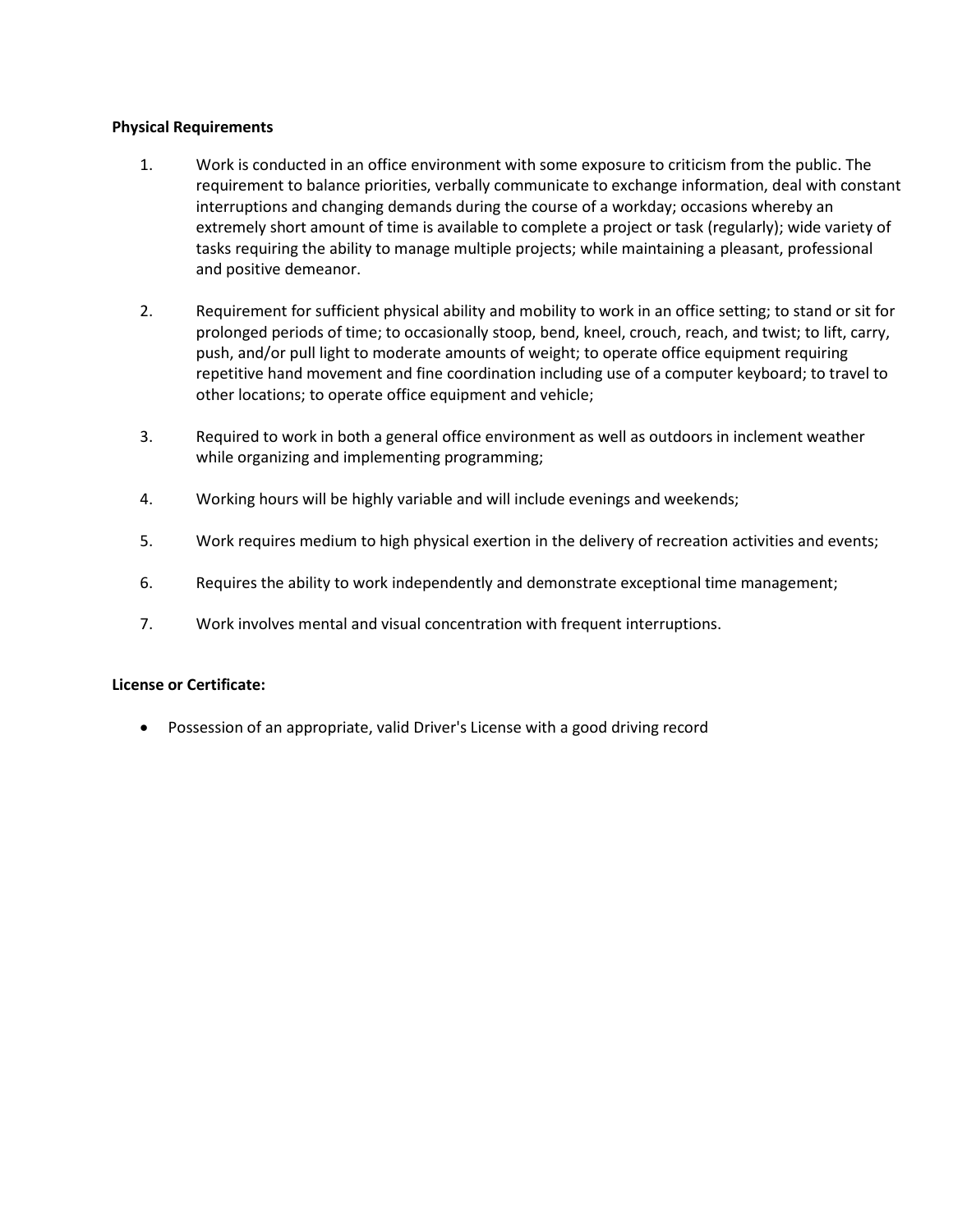## **Physical Requirements**

- 1. Work is conducted in an office environment with some exposure to criticism from the public. The requirement to balance priorities, verbally communicate to exchange information, deal with constant interruptions and changing demands during the course of a workday; occasions whereby an extremely short amount of time is available to complete a project or task (regularly); wide variety of tasks requiring the ability to manage multiple projects; while maintaining a pleasant, professional and positive demeanor.
- 2. Requirement for sufficient physical ability and mobility to work in an office setting; to stand or sit for prolonged periods of time; to occasionally stoop, bend, kneel, crouch, reach, and twist; to lift, carry, push, and/or pull light to moderate amounts of weight; to operate office equipment requiring repetitive hand movement and fine coordination including use of a computer keyboard; to travel to other locations; to operate office equipment and vehicle;
- 3. Required to work in both a general office environment as well as outdoors in inclement weather while organizing and implementing programming;
- 4. Working hours will be highly variable and will include evenings and weekends;
- 5. Work requires medium to high physical exertion in the delivery of recreation activities and events;
- 6. Requires the ability to work independently and demonstrate exceptional time management;
- 7. Work involves mental and visual concentration with frequent interruptions.

## **License or Certificate:**

• Possession of an appropriate, valid Driver's License with a good driving record